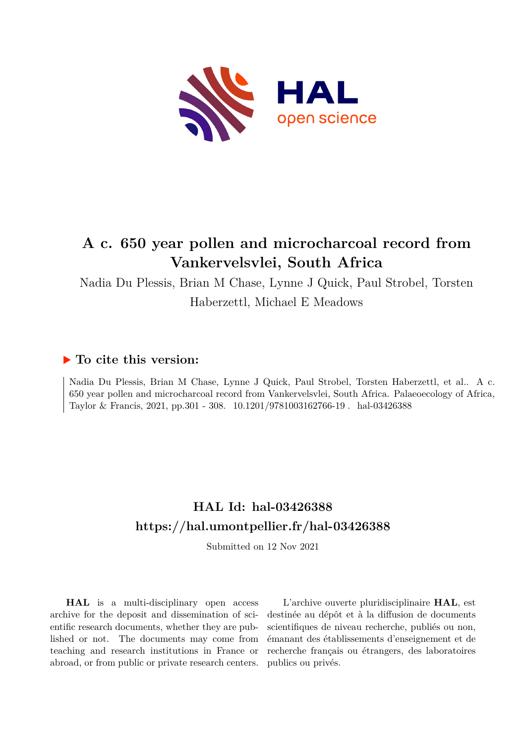

# **A c. 650 year pollen and microcharcoal record from Vankervelsvlei, South Africa**

Nadia Du Plessis, Brian M Chase, Lynne J Quick, Paul Strobel, Torsten Haberzettl, Michael E Meadows

### **To cite this version:**

Nadia Du Plessis, Brian M Chase, Lynne J Quick, Paul Strobel, Torsten Haberzettl, et al.. A c. 650 year pollen and microcharcoal record from Vankervelsvlei, South Africa. Palaeoecology of Africa, Taylor & Francis, 2021, pp.301 - 308. 10.1201/9781003162766-19 . hal-03426388

### **HAL Id: hal-03426388 <https://hal.umontpellier.fr/hal-03426388>**

Submitted on 12 Nov 2021

**HAL** is a multi-disciplinary open access archive for the deposit and dissemination of scientific research documents, whether they are published or not. The documents may come from teaching and research institutions in France or abroad, or from public or private research centers.

L'archive ouverte pluridisciplinaire **HAL**, est destinée au dépôt et à la diffusion de documents scientifiques de niveau recherche, publiés ou non, émanant des établissements d'enseignement et de recherche français ou étrangers, des laboratoires publics ou privés.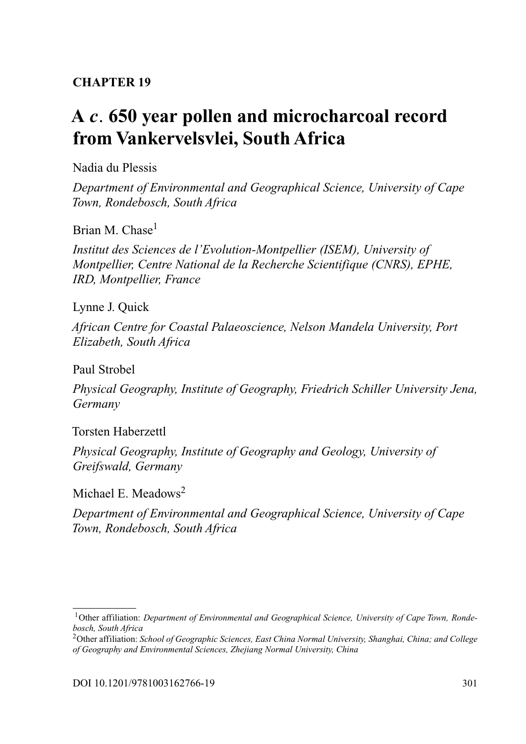### **CHAPTER 19**

## **A** *c.* **[650 year pollen and microcharcoal record](#page--1-0) from Vankervelsvlei, South Africa**

Nadia du Plessis

*Department of Environmental and Geographical Science, University of Cape Town, Rondebosch, South Africa*

Brian M. Chase<sup>[1](#page--1-0)</sup>

*Institut des Sciences de l'Evolution-Montpellier (ISEM), University of Montpellier, Centre National de la Recherche Scientifique (CNRS), EPHE, IRD, Montpellier, France*

Lynne J. Quick

*African Centre for Coastal Palaeoscience, Nelson Mandela University, Port Elizabeth, South Africa*

Paul Strobel

*Physical Geography, Institute of Geography, Friedrich Schiller University Jena, Germany*

Torsten Haberzettl

*Physical Geography, Institute of Geography and Geology, University of Greifswald, Germany*

Michael E. Meadows<sup>2</sup>

*Department of Environmental and Geographical Science, University of Cape Town, Rondebosch, South Africa*

<sup>&</sup>lt;sup>1</sup> Other affiliation: *Department of Environmental and Geographical Science, University of Cape Town, Rondebosch, South Africa*

<sup>2</sup>Other affiliation: *School of Geographic Sciences, East China Normal University, Shanghai, China; and College of Geography and Environmental Sciences, Zhejiang Normal University, China*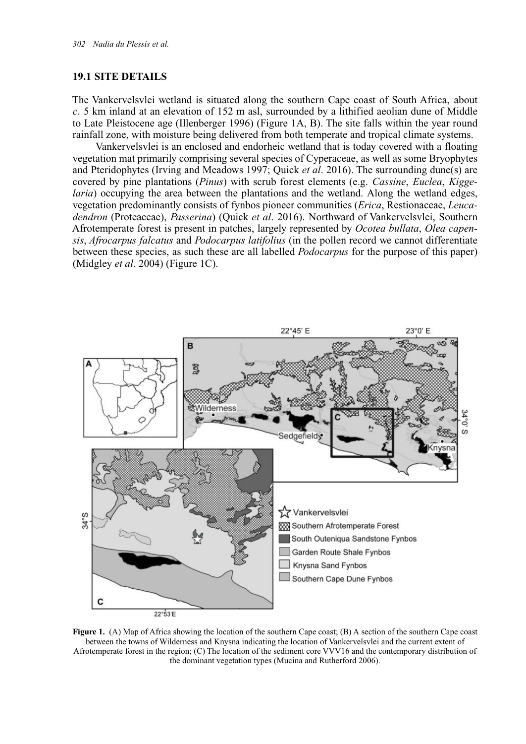#### **19.1 SITE DETAILS**

The Vankervelsvlei wetland is situated along the southern Cape coast of South Africa, about *c.* 5 km inland at an elevation of 152 m asl, surrounded by a lithified aeolian dune of Middle to Late Pleistocene age (Illenberger 1996) (Figure 1A, B). The site falls within the year round rainfall zone, with moisture being delivered from both temperate and tropical climate systems.

Vankervelsvlei is an enclosed and endorheic wetland that is today covered with a floating vegetation mat primarily comprising several species of Cyperaceae, as well as some Bryophytes and Pteridophytes (Irving and Meadows 1997; Quick *et al*. 2016). The surrounding dune(s) are covered by pine plantations (*Pinus*) with scrub forest elements (e.g. *Cassine*, *Euclea*, *Kiggelaria*) occupying the area between the plantations and the wetland. Along the wetland edges, vegetation predominantly consists of fynbos pioneer communities (*Erica*, Restionaceae, *Leucadendron* (Proteaceae), *Passerina*) (Quick *et al*. 2016). Northward of Vankervelsvlei, Southern Afrotemperate forest is present in patches, largely represented by *Ocotea bullata*, *Olea capensis*, *Afrocarpus falcatus* and *Podocarpus latifolius* (in the pollen record we cannot differentiate between these species, as such these are all labelled *Podocarpus* for the purpose of this paper) (Midgley *et al*. 2004) (Figure 1C).



**Figure 1.** (A) Map of Africa showing the location of the southern Cape coast; (B) A section of the southern Cape coast between the towns of Wilderness and Knysna indicating the location of Vankervelsvlei and the current extent of Afrotemperate forest in the region; (C) The location of the sediment core VVV16 and the contemporary distribution of the dominant vegetation types (Mucina and Rutherford 2006).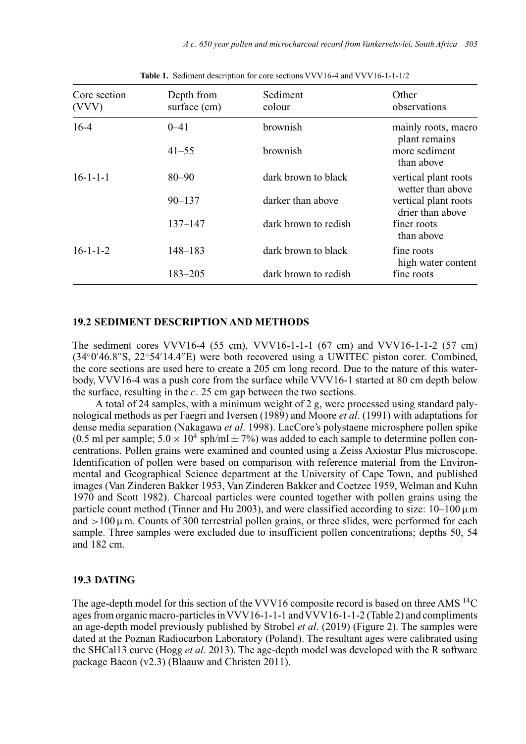| Core section<br>(VVV) | Sediment<br>Depth from<br>surface (cm)<br>colour |                      | Other<br>observations                     |  |
|-----------------------|--------------------------------------------------|----------------------|-------------------------------------------|--|
| $16-4$                | $0 - 41$                                         | brownish             | mainly roots, macro<br>plant remains      |  |
|                       | $41 - 55$                                        | brownish             | more sediment<br>than above               |  |
| $16 - 1 - 1 - 1$      | $80 - 90$                                        | dark brown to black  | vertical plant roots<br>wetter than above |  |
|                       | $90 - 137$                                       | darker than above    | vertical plant roots<br>drier than above  |  |
|                       | $137 - 147$                                      | dark brown to redish | finer roots<br>than above                 |  |
| $16 - 1 - 1 - 2$      | $148 - 183$                                      | dark brown to black  | fine roots<br>high water content          |  |
|                       | $183 - 205$                                      | dark brown to redish | fine roots                                |  |

**Table 1.** Sediment description for core sections VVV16-4 and VVV16-1-1-1/2

#### **19.2 SEDIMENT DESCRIPTION AND METHODS**

The sediment cores VVV16-4 (55 cm), VVV16-1-1-1 (67 cm) and VVV16-1-1-2 (57 cm) (34°0'46.8"S, 22°54'14.4"E) were both recovered using a UWITEC piston corer. Combined, the core sections are used here to create a 205 cm long record. Due to the nature of this waterbody, VVV16-4 was a push core from the surface while VVV16-1 started at 80 cm depth below the surface, resulting in the *c.* 25 cm gap between the two sections.

A total of 24 samples, with a minimum weight of 2 g, were processed using standard palynological methods as per Faegri and Iversen (1989) and Moore *et al*. (1991) with adaptations for dense media separation (Nakagawa *et al*. 1998). LacCore's polystaene microsphere pollen spike (0.5 ml per sample;  $5.0 \times 10^4$  sph/ml  $\pm$  7%) was added to each sample to determine pollen concentrations. Pollen grains were examined and counted using a Zeiss Axiostar Plus microscope. Identification of pollen were based on comparison with reference material from the Environmental and Geographical Science department at the University of Cape Town, and published images (Van Zinderen Bakker 1953, Van Zinderen Bakker and Coetzee 1959, Welman and Kuhn 1970 and Scott 1982). Charcoal particles were counted together with pollen grains using the particle count method (Tinner and Hu 2003), and were classified according to size:  $10-100 \,\mu m$ and  $>100 \mu$ m. Counts of 300 terrestrial pollen grains, or three slides, were performed for each sample. Three samples were excluded due to insufficient pollen concentrations; depths 50, 54 and 182 cm.

#### **19.3 DATING**

The age-depth model for this section of the VVV16 composite record is based on three AMS<sup>14</sup>C ages from organic macro-particles inVVV16-1-1-1 andVVV16-1-1-2 (Table 2) and compliments an age-depth model previously published by Strobel *et al*. (2019) (Figure 2). The samples were dated at the Poznan Radiocarbon Laboratory (Poland). The resultant ages were calibrated using the SHCal13 curve (Hogg *et al*. 2013). The age-depth model was developed with the R software package Bacon (v2.3) (Blaauw and Christen 2011).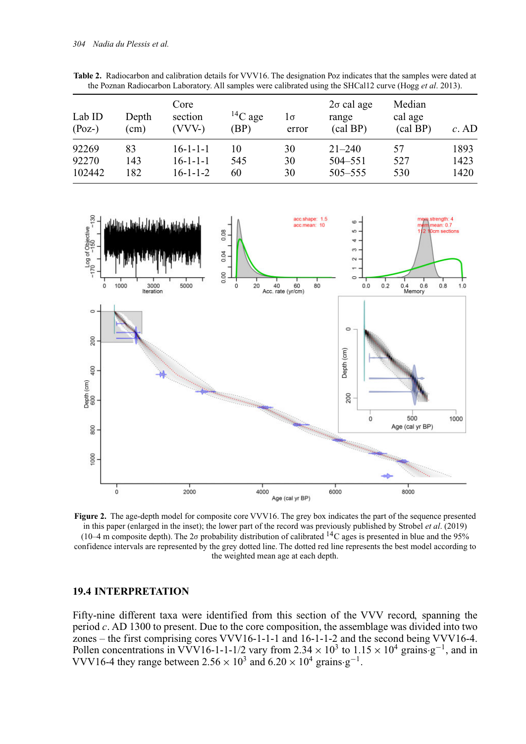| Lab ID<br>$(Poz-)$ | Depth<br>$\text{cm}$ ) | Core<br>section<br>(VVV-) | ${}^{14}C$ age<br>(BP) | lσ<br>error | $2\sigma$ cal age<br>range<br>(cal BP) | Median<br>cal age<br>(cal BP) | $c.$ AD |
|--------------------|------------------------|---------------------------|------------------------|-------------|----------------------------------------|-------------------------------|---------|
| 92269              | 83                     | $16 - 1 - 1 - 1$          | 10                     | 30          | $21 - 240$                             | 57                            | 1893    |
| 92270              | 143                    | $16 - 1 - 1 - 1$          | 545                    | 30          | 504–551                                | 527                           | 1423    |
| 102442             | 182                    | $16 - 1 - 1 - 2$          | 60                     | 30          | $505 - 555$                            | 530                           | 1420    |

**Table 2.** Radiocarbon and calibration details for VVV16. The designation Poz indicates that the samples were dated at the Poznan Radiocarbon Laboratory. All samples were calibrated using the SHCal12 curve (Hogg *et al*. 2013).



**Figure 2.** The age-depth model for composite core VVV16. The grey box indicates the part of the sequence presented in this paper (enlarged in the inset); the lower part of the record was previously published by Strobel *et al*. (2019) (10–4 m composite depth). The 2 $\sigma$  probability distribution of calibrated <sup>14</sup>C ages is presented in blue and the 95% confidence intervals are represented by the grey dotted line. The dotted red line represents the best model according to the weighted mean age at each depth.

#### **19.4 INTERPRETATION**

Fifty-nine different taxa were identified from this section of the VVV record, spanning the period *c.* AD 1300 to present. Due to the core composition, the assemblage was divided into two zones – the first comprising cores VVV16-1-1-1 and 16-1-1-2 and the second being VVV16-4. Pollen concentrations in VVV16-1-1-1/2 vary from 2.34  $\times$  10<sup>3</sup> to 1.15  $\times$  10<sup>4</sup> grains·g<sup>-1</sup>, and in VVV16-4 they range between  $2.56 \times 10^3$  and  $6.20 \times 10^4$  grains·g<sup>-1</sup>.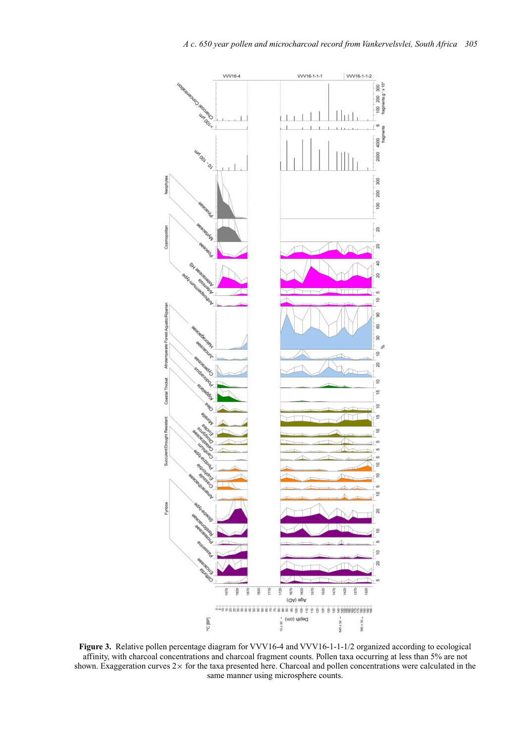

**Figure 3.** Relative pollen percentage diagram for VVV16-4 and VVV16-1-1-1/2 organized according to ecological affinity, with charcoal concentrations and charcoal fragment counts. Pollen taxa occurring at less than 5% are not shown. Exaggeration curves 2× for the taxa presented here. Charcoal and pollen concentrations were calculated in the same manner using microsphere counts.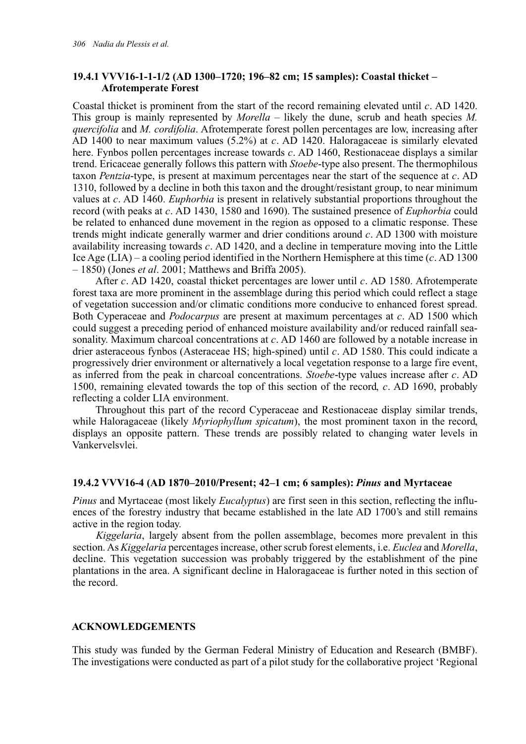#### **19.4.1 VVV16-1-1-1/2 (AD 1300–1720; 196–82 cm; 15 samples): Coastal thicket – Afrotemperate Forest**

Coastal thicket is prominent from the start of the record remaining elevated until *c.* AD 1420. This group is mainly represented by *Morella* – likely the dune, scrub and heath species *M. quercifolia* and *M. cordifolia*. Afrotemperate forest pollen percentages are low, increasing after AD 1400 to near maximum values (5.2%) at *c.* AD 1420. Haloragaceae is similarly elevated here. Fynbos pollen percentages increase towards *c.* AD 1460, Restionaceae displays a similar trend. Ericaceae generally follows this pattern with *Stoebe*-type also present. The thermophilous taxon *Pentzia*-type, is present at maximum percentages near the start of the sequence at *c.* AD 1310, followed by a decline in both this taxon and the drought/resistant group, to near minimum values at *c.* AD 1460. *Euphorbia* is present in relatively substantial proportions throughout the record (with peaks at *c.* AD 1430, 1580 and 1690). The sustained presence of *Euphorbia* could be related to enhanced dune movement in the region as opposed to a climatic response. These trends might indicate generally warmer and drier conditions around *c.* AD 1300 with moisture availability increasing towards *c.* AD 1420, and a decline in temperature moving into the Little Ice Age (LIA) – a cooling period identified in the Northern Hemisphere at this time (*c.* AD 1300 – 1850) (Jones *et al*. 2001; Matthews and Briffa 2005).

After *c.* AD 1420, coastal thicket percentages are lower until *c.* AD 1580. Afrotemperate forest taxa are more prominent in the assemblage during this period which could reflect a stage of vegetation succession and/or climatic conditions more conducive to enhanced forest spread. Both Cyperaceae and *Podocarpus* are present at maximum percentages at *c.* AD 1500 which could suggest a preceding period of enhanced moisture availability and/or reduced rainfall seasonality. Maximum charcoal concentrations at *c.* AD 1460 are followed by a notable increase in drier asteraceous fynbos (Asteraceae HS; high-spined) until *c.* AD 1580. This could indicate a progressively drier environment or alternatively a local vegetation response to a large fire event, as inferred from the peak in charcoal concentrations. *Stoebe*-type values increase after *c.* AD 1500, remaining elevated towards the top of this section of the record, *c.* AD 1690, probably reflecting a colder LIA environment.

Throughout this part of the record Cyperaceae and Restionaceae display similar trends, while Haloragaceae (likely *Myriophyllum spicatum*), the most prominent taxon in the record, displays an opposite pattern. These trends are possibly related to changing water levels in Vankervelsvlei.

#### **19.4.2 VVV16-4 (AD 1870–2010/Present; 42–1 cm; 6 samples):** *Pinus* **and Myrtaceae**

*Pinus* and Myrtaceae (most likely *Eucalyptus*) are first seen in this section, reflecting the influences of the forestry industry that became established in the late AD 1700's and still remains active in the region today.

*Kiggelaria*, largely absent from the pollen assemblage, becomes more prevalent in this section. As *Kiggelaria* percentages increase, other scrub forest elements, i.e. *Euclea* and *Morella*, decline. This vegetation succession was probably triggered by the establishment of the pine plantations in the area. A significant decline in Haloragaceae is further noted in this section of the record.

#### **ACKNOWLEDGEMENTS**

This study was funded by the German Federal Ministry of Education and Research (BMBF). The investigations were conducted as part of a pilot study for the collaborative project 'Regional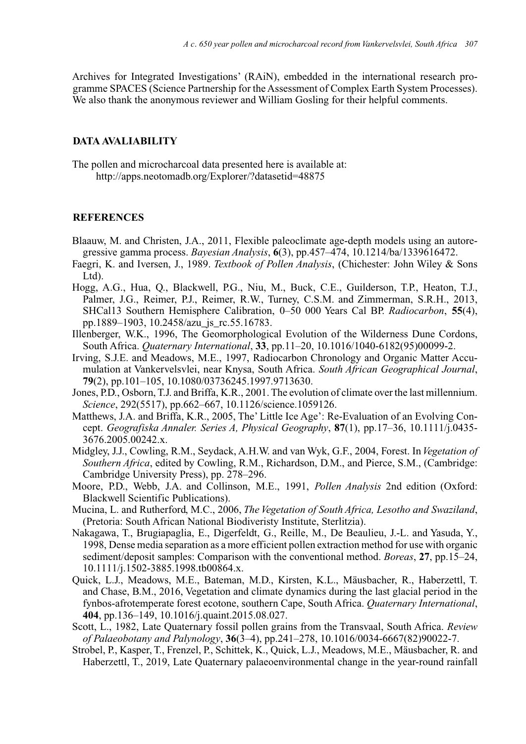Archives for Integrated Investigations' (RAiN), embedded in the international research programme SPACES (Science Partnership for the Assessment of Complex Earth System Processes). We also thank the anonymous reviewer and William Gosling for their helpful comments.

#### **DATA AVALIABILITY**

The pollen and microcharcoal data presented here is available at: <http://apps.neotomadb.org/Explorer/?datasetid=48875>

#### **REFERENCES**

- Blaauw, M. and Christen, J.A., 2011, Flexible paleoclimate age-depth models using an autoregressive gamma process. *Bayesian Analysis*, **6**(3), pp.457–474, 10.1214/ba/1339616472.
- Faegri, K. and Iversen, J., 1989. *Textbook of Pollen Analysis*, (Chichester: John Wiley & Sons Ltd).
- Hogg, A.G., Hua, Q., Blackwell, P.G., Niu, M., Buck, C.E., Guilderson, T.P., Heaton, T.J., Palmer, J.G., Reimer, P.J., Reimer, R.W., Turney, C.S.M. and Zimmerman, S.R.H., 2013, SHCal13 Southern Hemisphere Calibration, 0–50 000 Years Cal BP. *Radiocarbon*, **55**(4), pp.1889–1903, 10.2458/azu\_js\_rc.55.16783.
- Illenberger, W.K., 1996, The Geomorphological Evolution of the Wilderness Dune Cordons, South Africa. *Quaternary International*, **33**, pp.11–20, 10.1016/1040-6182(95)00099-2.
- Irving, S.J.E. and Meadows, M.E., 1997, Radiocarbon Chronology and Organic Matter Accumulation at Vankervelsvlei, near Knysa, South Africa. *South African Geographical Journal*, **79**(2), pp.101–105, 10.1080/03736245.1997.9713630.
- Jones, P.D., Osborn, T.J. and Briffa, K.R., 2001. The evolution of climate over the last millennium. *Science*, 292(5517), pp.662–667, 10.1126/science.1059126.
- Matthews, J.A. and Briffa, K.R., 2005, The' Little Ice Age': Re-Evaluation of an Evolving Concept. *Geografiska Annaler. Series A, Physical Geography*, **87**(1), pp.17–36, 10.1111/j.0435- 3676.2005.00242.x.
- Midgley, J.J., Cowling, R.M., Seydack, A.H.W. and van Wyk, G.F., 2004, Forest. In*Vegetation of Southern Africa*, edited by Cowling, R.M., Richardson, D.M., and Pierce, S.M., (Cambridge: Cambridge University Press), pp. 278–296.
- Moore, P.D., Webb, J.A. and Collinson, M.E., 1991, *Pollen Analysis* 2nd edition (Oxford: Blackwell Scientific Publications).
- Mucina, L. and Rutherford, M.C., 2006, *The Vegetation of South Africa, Lesotho and Swaziland*, (Pretoria: South African National Biodiveristy Institute, Sterlitzia).
- Nakagawa, T., Brugiapaglia, E., Digerfeldt, G., Reille, M., De Beaulieu, J.-L. and Yasuda, Y., 1998, Dense media separation as a more efficient pollen extraction method for use with organic sediment/deposit samples: Comparison with the conventional method. *Boreas*, **27**, pp.15–24, 10.1111/j.1502-3885.1998.tb00864.x.
- Quick, L.J., Meadows, M.E., Bateman, M.D., Kirsten, K.L., Mäusbacher, R., Haberzettl, T. and Chase, B.M., 2016, Vegetation and climate dynamics during the last glacial period in the fynbos-afrotemperate forest ecotone, southern Cape, South Africa. *Quaternary International*, **404**, pp.136–149, 10.1016/j.quaint.2015.08.027.
- Scott, L., 1982, Late Quaternary fossil pollen grains from the Transvaal, South Africa. *Review of Palaeobotany and Palynology*, **36**(3–4), pp.241–278, 10.1016/0034-6667(82)90022-7.
- Strobel, P., Kasper, T., Frenzel, P., Schittek, K., Quick, L.J., Meadows, M.E., Mäusbacher, R. and Haberzettl, T., 2019, Late Quaternary palaeoenvironmental change in the year-round rainfall